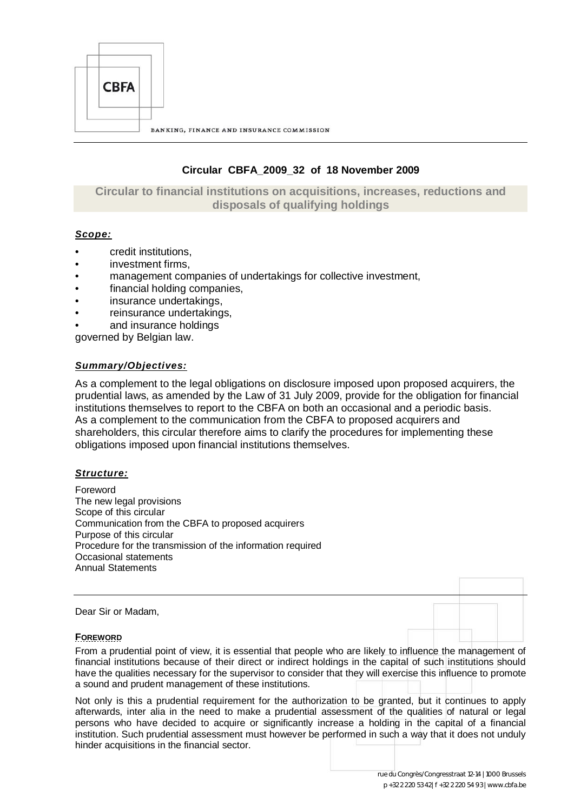

# **Circular CBFA\_2009\_32 of 18 November 2009**

# **Circular to financial institutions on acquisitions, increases, reductions and disposals of qualifying holdings**

# *Scope:*

- credit institutions,
- investment firms,
- management companies of undertakings for collective investment,
- financial holding companies,
- insurance undertakings.
- reinsurance undertakings,
- and insurance holdings

governed by Belgian law.

## *Summary/Objectives:*

As a complement to the legal obligations on disclosure imposed upon proposed acquirers, the prudential laws, as amended by the Law of 31 July 2009, provide for the obligation for financial institutions themselves to report to the CBFA on both an occasional and a periodic basis. As a complement to the communication from the CBFA to proposed acquirers and shareholders, this circular therefore aims to clarify the procedures for implementing these obligations imposed upon financial institutions themselves.

## *Structure:*

Foreword The new legal provisions Scope of this circular Communication from the CBFA to proposed acquirers Purpose of this circular Procedure for the transmission of the information required Occasional statements Annual Statements

Dear Sir or Madam,

## **FOREWORD**

From a prudential point of view, it is essential that people who are likely to influence the management of financial institutions because of their direct or indirect holdings in the capital of such institutions should have the qualities necessary for the supervisor to consider that they will exercise this influence to promote a sound and prudent management of these institutions.

Not only is this a prudential requirement for the authorization to be granted, but it continues to apply afterwards, inter alia in the need to make a prudential assessment of the qualities of natural or legal persons who have decided to acquire or significantly increase a holding in the capital of a financial institution. Such prudential assessment must however be performed in such a way that it does not unduly hinder acquisitions in the financial sector.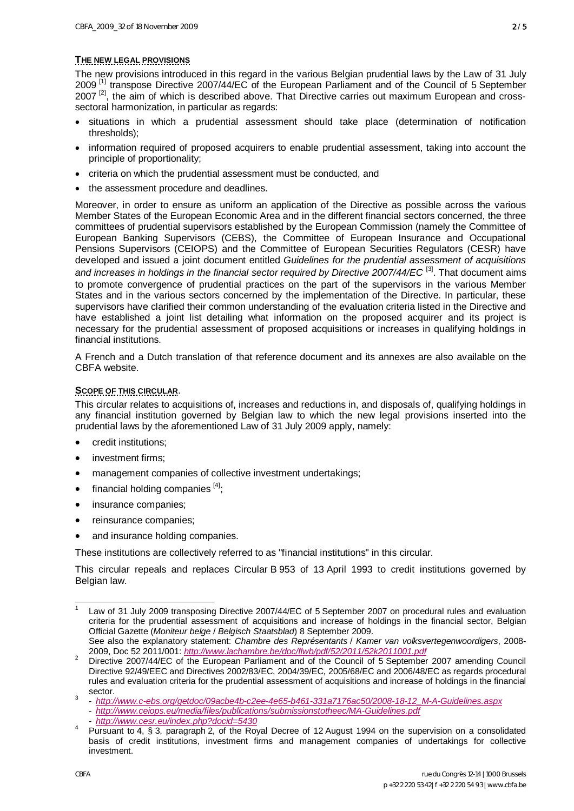#### **THE NEW LEGAL PROVISIONS**

The new provisions introduced in this regard in the various Belgian prudential laws by the Law of 31 July 2009<sup>[\[1\]](#page-1-0)</sup> transpose Directive 2007/44/EC of the European Parliament and of the Council of 5 September 2007<sup>[\[2\]](#page-1-1)</sup>, the aim of which is described above. That Directive carries out maximum European and crosssectoral harmonization, in particular as regards:

- situations in which a prudential assessment should take place (determination of notification thresholds);
- information required of proposed acquirers to enable prudential assessment, taking into account the principle of proportionality;
- criteria on which the prudential assessment must be conducted, and
- the assessment procedure and deadlines.

Moreover, in order to ensure as uniform an application of the Directive as possible across the various Member States of the European Economic Area and in the different financial sectors concerned, the three committees of prudential supervisors established by the European Commission (namely the Committee of European Banking Supervisors (CEBS), the Committee of European Insurance and Occupational Pensions Supervisors (CEIOPS) and the Committee of European Securities Regulators (CESR) have developed and issued a joint document entitled *Guidelines for the prudential assessment of acquisitions*  and increases in holdings in the financial sector required by Directive 2007/44/EC<sup>[[3\]](#page-1-2)</sup>. That document aims to promote convergence of prudential practices on the part of the supervisors in the various Member States and in the various sectors concerned by the implementation of the Directive. In particular, these supervisors have clarified their common understanding of the evaluation criteria listed in the Directive and have established a joint list detailing what information on the proposed acquirer and its project is necessary for the prudential assessment of proposed acquisitions or increases in qualifying holdings in financial institutions.

A French and a Dutch translation of that reference document and its annexes are also available on the CBFA website.

#### **SCOPE OF THIS CIRCULAR**.

This circular relates to acquisitions of, increases and reductions in, and disposals of, qualifying holdings in any financial institution governed by Belgian law to which the new legal provisions inserted into the prudential laws by the aforementioned Law of 31 July 2009 apply, namely:

- x credit institutions;
- investment firms;
- management companies of collective investment undertakings;
- financial holding companies  $[4]$ ;
- insurance companies:
- reinsurance companies;
- and insurance holding companies.

These institutions are collectively referred to as "financial institutions" in this circular.

This circular repeals and replaces Circular B 953 of 13 April 1993 to credit institutions governed by Belgian law.

- *<http://www.cesr.eu/index.php?docid=5430>*

-

<span id="page-1-0"></span><sup>1</sup> Law of 31 July 2009 transposing Directive 2007/44/EC of 5 September 2007 on procedural rules and evaluation criteria for the prudential assessment of acquisitions and increase of holdings in the financial sector, Belgian Official Gazette (*Moniteur belge* / *Belgisch Staatsblad*) 8 September 2009. See also the explanatory statement: *Chambre des Représentants* / *Kamer van volksvertegenwoordigers*, 2008-

<sup>2009,</sup> Doc 52 2011/001: *<http://www.lachambre.be/doc/flwb/pdf/52/2011/52k2011001.pdf>*

<span id="page-1-1"></span><sup>&</sup>lt;sup>2</sup> Directive 2007/44/EC of the European Parliament and of the Council of 5 September 2007 amending Council Directive 92/49/EEC and Directives 2002/83/EC, 2004/39/EC, 2005/68/EC and 2006/48/EC as regards procedural rules and evaluation criteria for the prudential assessment of acquisitions and increase of holdings in the financial sector.

<span id="page-1-2"></span><sup>3</sup> - *[http://www.c-ebs.org/getdoc/09acbe4b-c2ee-4e65-b461-331a7176ac50/2008-18-12\\_M-A-Guidelines.aspx](http://www.c-ebs.org/getdoc/09acbe4b-c2ee-4e65-b461-331a7176ac50/2008-18-12_M-A-Guidelines.aspx)*

 <sup>-</sup> *<http://www.ceiops.eu/media/files/publications/submissionstotheec/MA-Guidelines.pdf>*

<span id="page-1-3"></span><sup>4</sup> Pursuant to 4, § 3, paragraph 2, of the Royal Decree of 12 August 1994 on the supervision on a consolidated basis of cr[edit institutions, investment firms and man](http://www.fsma.be/~/media/files/wg/rd_12-08-1994.pdf)agement companies of undertakings for collective investment.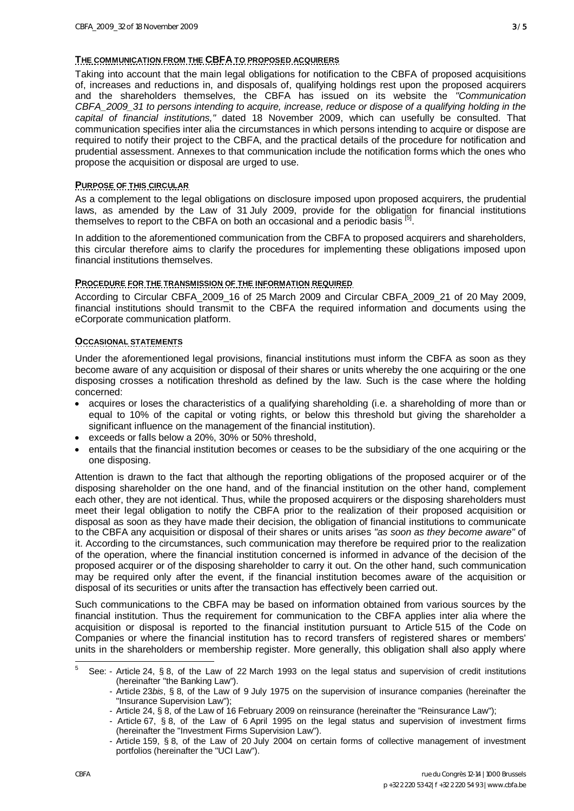## **THE COMMUNICATION FROM THE CBFA TO PROPOSED ACQUIRERS**

Taking into account that the main legal obligations for notification to the CBFA of proposed acquisitions of, increases and reductions in, and disposals of, qualifying holdings rest upon the proposed acquirers and the shareholders themselves, the CBFA has issued on its website the *"Communication CBFA\_2009\_31 to persons intending to acquire, increase, reduce or dispose of a qualifying holding in the capital of financial institutions,"* dated 18 November 2009, which can usefully be consulted. That communication specifies inter alia the circumstances in which persons intending to acquire or dispose are required to notify their project to the CBFA, and the practical details of the procedure for notification and prudential assessment. Annexes to that communication include the notification forms which the ones who propose the acquisition or disposal are urged to use.

## **PURPOSE OF THIS CIRCULAR**

As a complement to the legal obligations on disclosure imposed upon proposed acquirers, the prudential laws, as amended by the Law of 31 July 2009, provide for the obligation for financial institutions themselves to report to the CBFA on both an occasional and a periodic basis [5].

In addition to the aforementioned communication from the CBFA to proposed acquirers and shareholders, this circular therefore aims to clarify the procedures for implementing these obligations imposed upon financial institutions themselves.

# **PROCEDURE FOR THE TRANSMISSION OF THE INFORMATION REQUIRED**

According to Circular CBFA\_2009\_16 of 25 March 2009 and Circular CBFA\_2009\_21 of 20 May 2009, financial institutions should transmit to the CBFA the required information and documents using the eCorporate communication platform.

# **OCCASIONAL STATEMENTS**

Under the aforementioned legal provisions, financial institutions must inform the CBFA as soon as they become aware of any acquisition or disposal of their shares or units whereby the one acquiring or the one disposing crosses a notification threshold as defined by the law. Such is the case where the holding concerned:

- acquires or loses the characteristics of a qualifying shareholding (i.e. a shareholding of more than or equal to 10% of the capital or voting rights, or below this threshold but giving the shareholder a significant influence on the management of the financial institution).
- x exceeds or falls below a 20%, 30% or 50% threshold,
- entails that the financial institution becomes or ceases to be the subsidiary of the one acquiring or the one disposing.

Attention is drawn to the fact that although the reporting obligations of the proposed acquirer or of the disposing shareholder on the one hand, and of the financial institution on the other hand, complement each other, they are not identical. Thus, while the proposed acquirers or the disposing shareholders must meet their legal obligation to notify the CBFA prior to the realization of their proposed acquisition or disposal as soon as they have made their decision, the obligation of financial institutions to communicate to the CBFA any acquisition or disposal of their shares or units arises *"as soon as they become aware"* of it. According to the circumstances, such communication may therefore be required prior to the realization of the operation, where the financial institution concerned is informed in advance of the decision of the proposed acquirer or of the disposing shareholder to carry it out. On the other hand, such communication may be required only after the event, if the financial institution becomes aware of the acquisition or disposal of its securities or units after the transaction has effectively been carried out.

Such communications to the CBFA may be based on information obtained from various sources by the financial institution. Thus the requirement for communication to the CBFA applies inter alia where the acquisition or disposal is reported to the financial institution pursuant to Article 515 of the Code on Companies or where the financial institution has to record transfers of registered shares or members' units in the shareholders or membership register. More generally, this obligation shall also apply where

<span id="page-2-0"></span><sup>-&</sup>lt;br>5 See: - Article 24, § 8, of the Law of 22 March 1993 on the legal status and supervision of credit institutions (hereinafter "the Banking Law").

<sup>-</sup> Article 23*bis*, § 8, of the Law of 9 July 1975 on the supervision of insurance companies (hereinafter the "Insurance Supervision Law");

<sup>-</sup> Article 24, § 8, of the Law of 16 February 2009 on reinsurance (hereinafter the "Reinsurance Law");

<sup>-</sup> Article 67, § 8, of the Law of 6 April 1995 on the legal status and supervision of investment firms (hereinafter the "Investment Firms Supervision Law").

<sup>-</sup> Article 159, § 8, of the Law of 20 July 2004 on certain forms of collective management of investment portfolios (hereinafter the "UCI Law").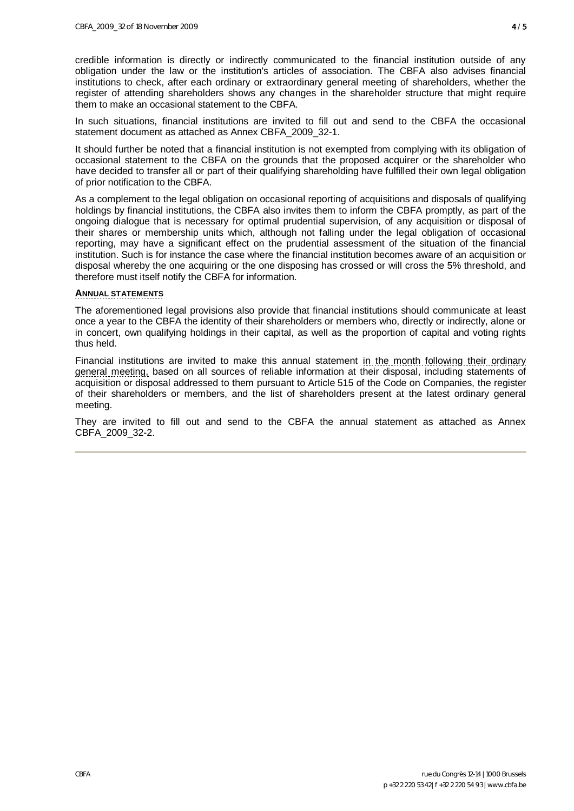credible information is directly or indirectly communicated to the financial institution outside of any obligation under the law or the institution's articles of association. The CBFA also advises financial institutions to check, after each ordinary or extraordinary general meeting of shareholders, whether the register of attending shareholders shows any changes in the shareholder structure that might require them to make an occasional statement to the CBFA.

In such situations, financial institutions are invited to fill out and send to the CBFA the occasional statement document as attached as Annex CBFA\_2009\_32-1.

It should further be noted that a financial institution is not exempted from complying with its obligation of occasional statement to the CBFA on the grounds that the proposed acquirer or the shareholder who have decided to transfer all or part of their qualifying shareholding have fulfilled their own legal obligation of prior notification to the CBFA.

As a complement to the legal obligation on occasional reporting of acquisitions and disposals of qualifying holdings by financial institutions, the CBFA also invites them to inform the CBFA promptly, as part of the ongoing dialogue that is necessary for optimal prudential supervision, of any acquisition or disposal of their shares or membership units which, although not falling under the legal obligation of occasional reporting, may have a significant effect on the prudential assessment of the situation of the financial institution. Such is for instance the case where the financial institution becomes aware of an acquisition or disposal whereby the one acquiring or the one disposing has crossed or will cross the 5% threshold, and therefore must itself notify the CBFA for information.

## **ANNUAL STATEMENTS**

The aforementioned legal provisions also provide that financial institutions should communicate at least once a year to the CBFA the identity of their shareholders or members who, directly or indirectly, alone or in concert, own qualifying holdings in their capital, as well as the proportion of capital and voting rights thus held.

Financial institutions are invited to make this annual statement in the month following their ordinary general meeting, based on all sources of reliable information at their disposal, including statements of acquisition or disposal addressed to them pursuant to Article 515 of the Code on Companies, the register of their shareholders or members, and the list of shareholders present at the latest ordinary general meeting.

They are invited to fill out and send to the CBFA the annual statement as attached as Annex CBFA\_2009\_32-2.